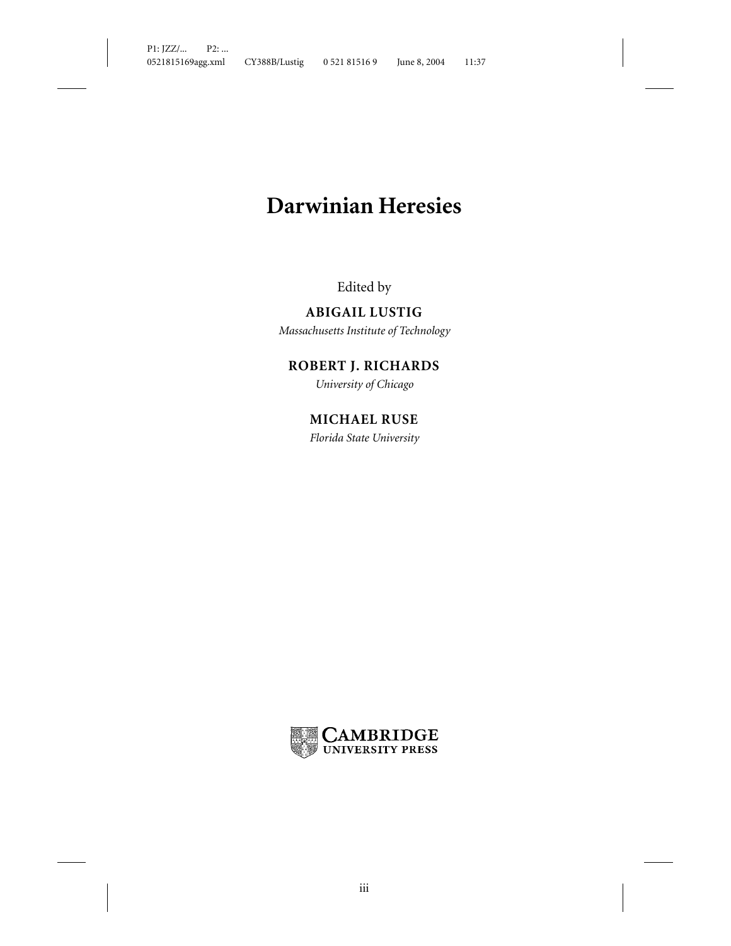# **Darwinian Heresies**

Edited by

## **ABIGAIL LUSTIG**

*Massachusetts Institute of Technology*

## **ROBERT J. RICHARDS**

*University of Chicago*

## **MICHAEL RUSE**

*Florida State University*

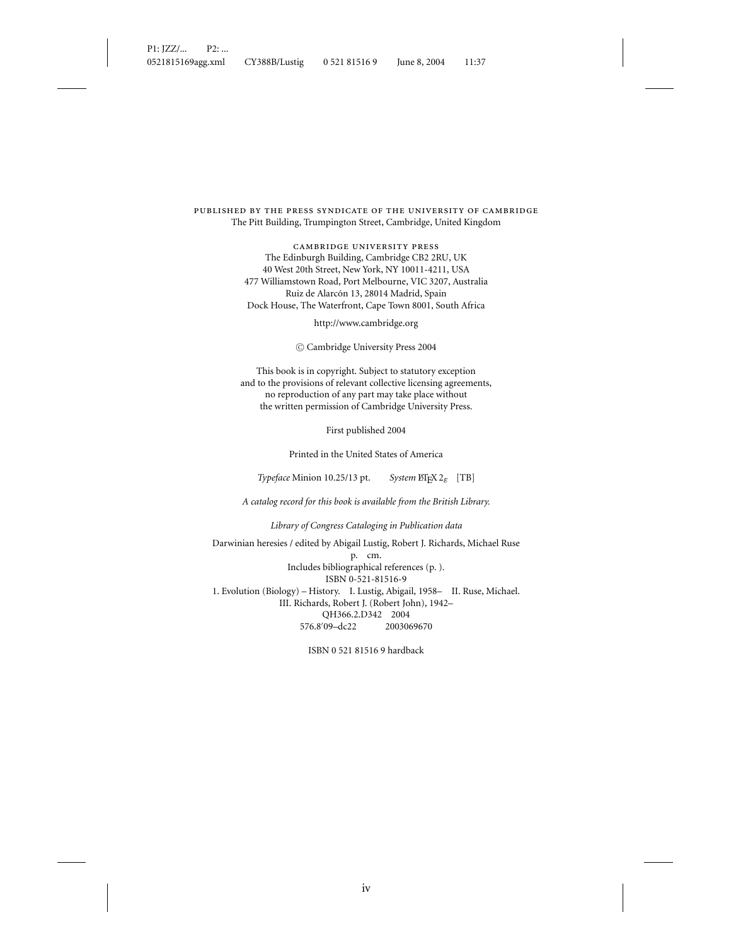published by the press syndicate of the university of cambridge The Pitt Building, Trumpington Street, Cambridge, United Kingdom

> cambridge university press The Edinburgh Building, Cambridge CB2 2RU, UK 40 West 20th Street, New York, NY 10011-4211, USA 477 Williamstown Road, Port Melbourne, VIC 3207, Australia Ruiz de Alarcón 13, 28014 Madrid, Spain Dock House, The Waterfront, Cape Town 8001, South Africa

> > http://www.cambridge.org

-<sup>C</sup> Cambridge University Press 2004

This book is in copyright. Subject to statutory exception and to the provisions of relevant collective licensing agreements, no reproduction of any part may take place without the written permission of Cambridge University Press.

First published 2004

Printed in the United States of America

*Typeface* Minion 10.25/13 pt.  $System$  EI<sub>F</sub>X 2<sub>ε</sub> [TB]

*A catalog record for this book is available from the British Library.*

*Library of Congress Cataloging in Publication data*

Darwinian heresies / edited by Abigail Lustig, Robert J. Richards, Michael Ruse p. cm. Includes bibliographical references (p. ). ISBN 0-521-81516-9 1. Evolution (Biology) – History. I. Lustig, Abigail, 1958– II. Ruse, Michael. III. Richards, Robert J. (Robert John), 1942– QH366.2.D342 2004 576.8'09-dc22 2003069670

ISBN 0 521 81516 9 hardback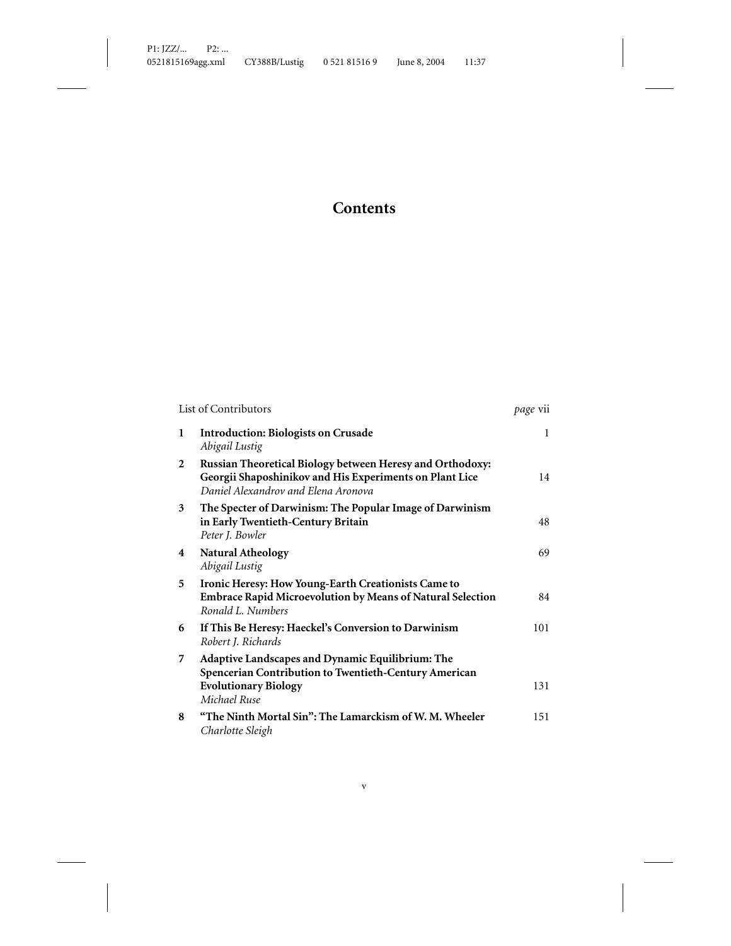## **Contents**

| List of Contributors |                                                                                                                                                             | page vii |
|----------------------|-------------------------------------------------------------------------------------------------------------------------------------------------------------|----------|
| 1                    | <b>Introduction: Biologists on Crusade</b><br>Abigail Lustig                                                                                                | 1        |
| 2                    | Russian Theoretical Biology between Heresy and Orthodoxy:<br>Georgii Shaposhinikov and His Experiments on Plant Lice<br>Daniel Alexandrov and Elena Aronova | 14       |
| 3                    | The Specter of Darwinism: The Popular Image of Darwinism<br>in Early Twentieth-Century Britain<br>Peter J. Bowler                                           | 48       |
| 4                    | <b>Natural Atheology</b><br>Abigail Lustig                                                                                                                  | 69       |
| 5                    | Ironic Heresy: How Young-Earth Creationists Came to<br><b>Embrace Rapid Microevolution by Means of Natural Selection</b><br>Ronald L. Numbers               | 84       |
| 6                    | If This Be Heresy: Haeckel's Conversion to Darwinism<br>Robert J. Richards                                                                                  | 101      |
| 7                    | Adaptive Landscapes and Dynamic Equilibrium: The<br>Spencerian Contribution to Twentieth-Century American<br><b>Evolutionary Biology</b><br>Michael Ruse    | 131      |
| 8                    | "The Ninth Mortal Sin": The Lamarckism of W. M. Wheeler<br>Charlotte Sleigh                                                                                 | 151      |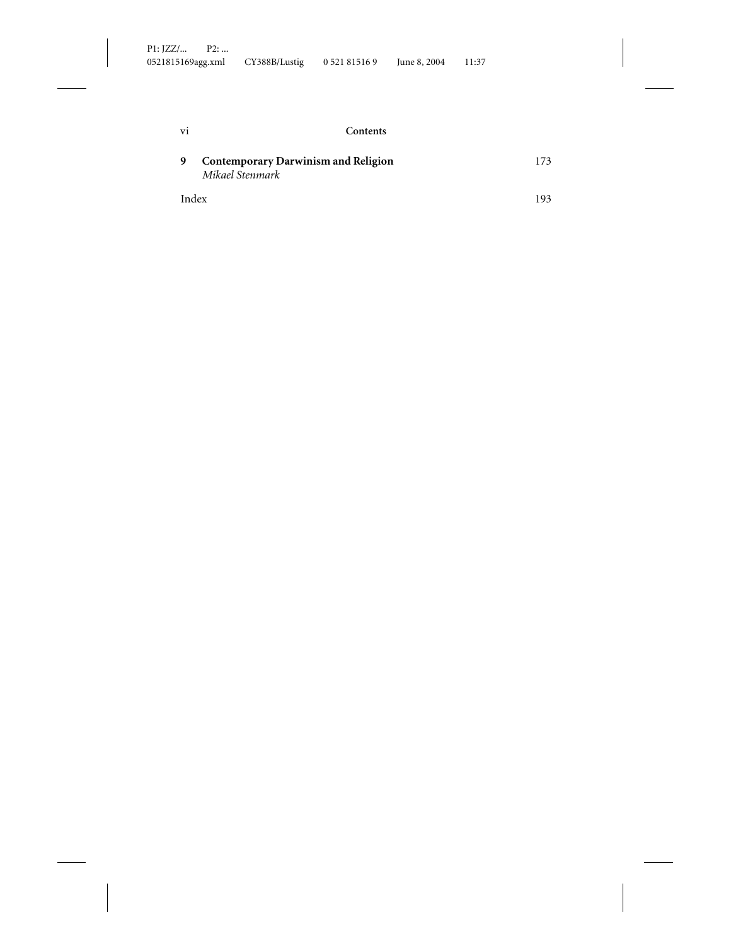| 9.    | <b>Contemporary Darwinism and Religion</b><br>Mikael Stenmark | 173 |
|-------|---------------------------------------------------------------|-----|
| Index |                                                               | 193 |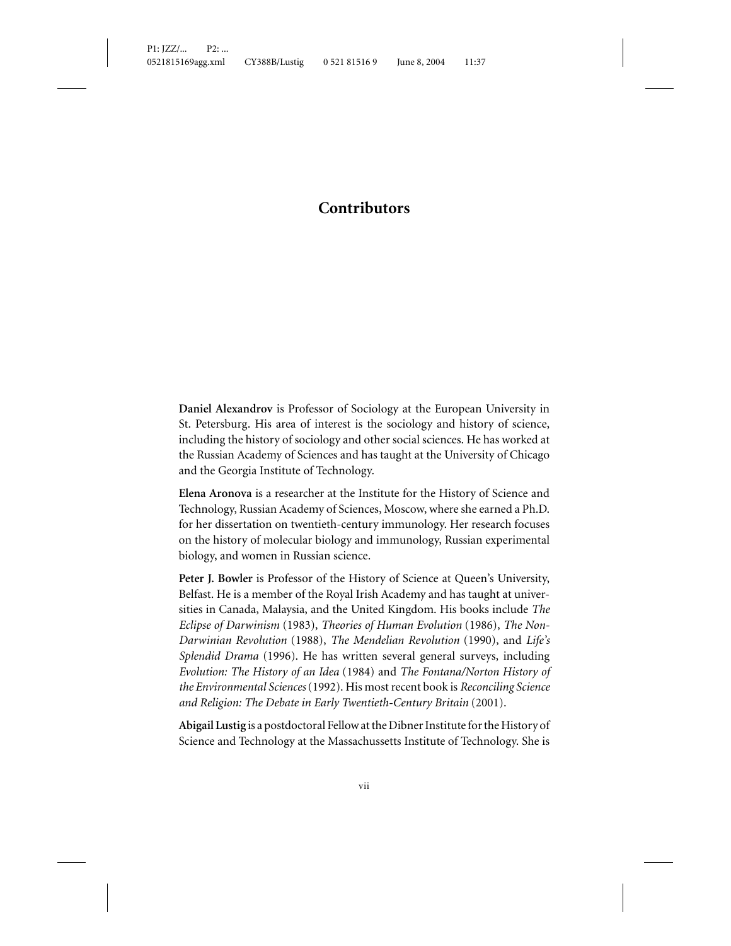## **Contributors**

**Daniel Alexandrov** is Professor of Sociology at the European University in St. Petersburg. His area of interest is the sociology and history of science, including the history of sociology and other social sciences. He has worked at the Russian Academy of Sciences and has taught at the University of Chicago and the Georgia Institute of Technology.

**Elena Aronova** is a researcher at the Institute for the History of Science and Technology, Russian Academy of Sciences, Moscow, where she earned a Ph.D. for her dissertation on twentieth-century immunology. Her research focuses on the history of molecular biology and immunology, Russian experimental biology, and women in Russian science.

Peter J. Bowler is Professor of the History of Science at Queen's University, Belfast. He is a member of the Royal Irish Academy and has taught at universities in Canada, Malaysia, and the United Kingdom. His books include *The Eclipse of Darwinism* (1983), *Theories of Human Evolution* (1986), *The Non-Darwinian Revolution* (1988), *The Mendelian Revolution* (1990), and *Life's Splendid Drama* (1996). He has written several general surveys, including *Evolution: The History of an Idea* (1984) and *The Fontana/Norton History of the Environmental Sciences*(1992). His most recent book is *Reconciling Science and Religion: The Debate in Early Twentieth-Century Britain* (2001).

**Abigail Lustig** is a postdoctoral Fellow at the Dibner Institute for the History of Science and Technology at the Massachussetts Institute of Technology. She is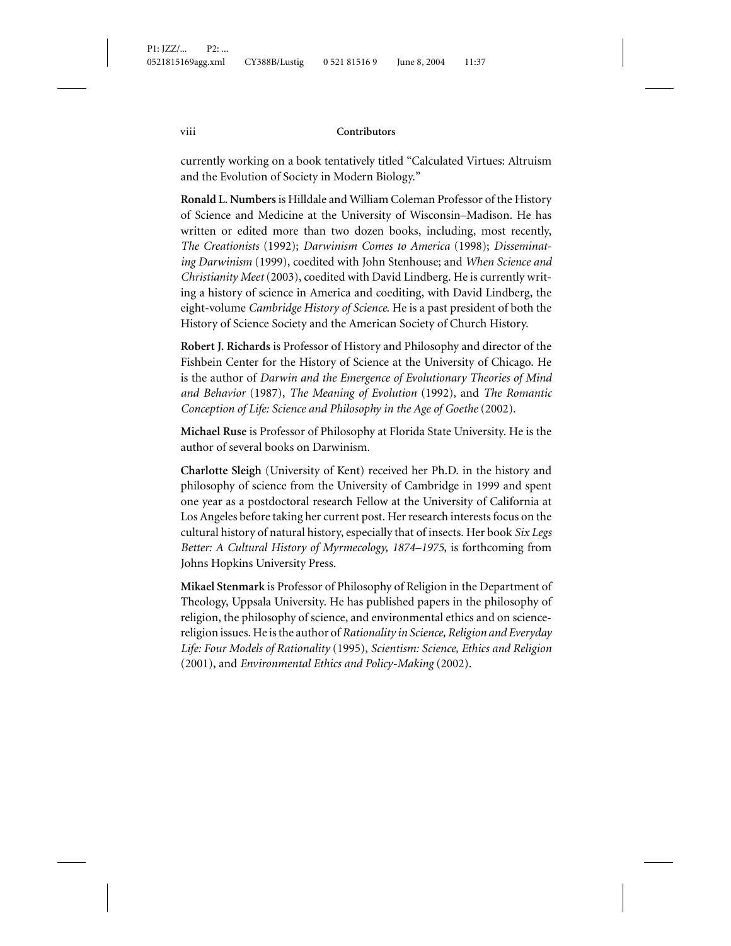currently working on a book tentatively titled "Calculated Virtues: Altruism and the Evolution of Society in Modern Biology."

**Ronald L. Numbers**is Hilldale and William Coleman Professor of the History of Science and Medicine at the University of Wisconsin–Madison. He has written or edited more than two dozen books, including, most recently, *The Creationists* (1992); *Darwinism Comes to America* (1998); *Disseminating Darwinism* (1999), coedited with John Stenhouse; and *When Science and Christianity Meet* (2003), coedited with David Lindberg. He is currently writing a history of science in America and coediting, with David Lindberg, the eight-volume *Cambridge History of Science*. He is a past president of both the History of Science Society and the American Society of Church History.

**Robert J. Richards** is Professor of History and Philosophy and director of the Fishbein Center for the History of Science at the University of Chicago. He is the author of *Darwin and the Emergence of Evolutionary Theories of Mind and Behavior* (1987), *The Meaning of Evolution* (1992), and *The Romantic Conception of Life: Science and Philosophy in the Age of Goethe* (2002).

**Michael Ruse** is Professor of Philosophy at Florida State University. He is the author of several books on Darwinism.

**Charlotte Sleigh** (University of Kent) received her Ph.D. in the history and philosophy of science from the University of Cambridge in 1999 and spent one year as a postdoctoral research Fellow at the University of California at Los Angeles before taking her current post. Her research interests focus on the cultural history of natural history, especially that of insects. Her book *Six Legs Better: A Cultural History of Myrmecology, 1874–1975*, is forthcoming from Johns Hopkins University Press.

**Mikael Stenmark** is Professor of Philosophy of Religion in the Department of Theology, Uppsala University. He has published papers in the philosophy of religion, the philosophy of science, and environmental ethics and on sciencereligion issues. He is the author of *Rationality in Science, Religion and Everyday Life: Four Models of Rationality* (1995), *Scientism: Science, Ethics and Religion* (2001), and *Environmental Ethics and Policy-Making* (2002).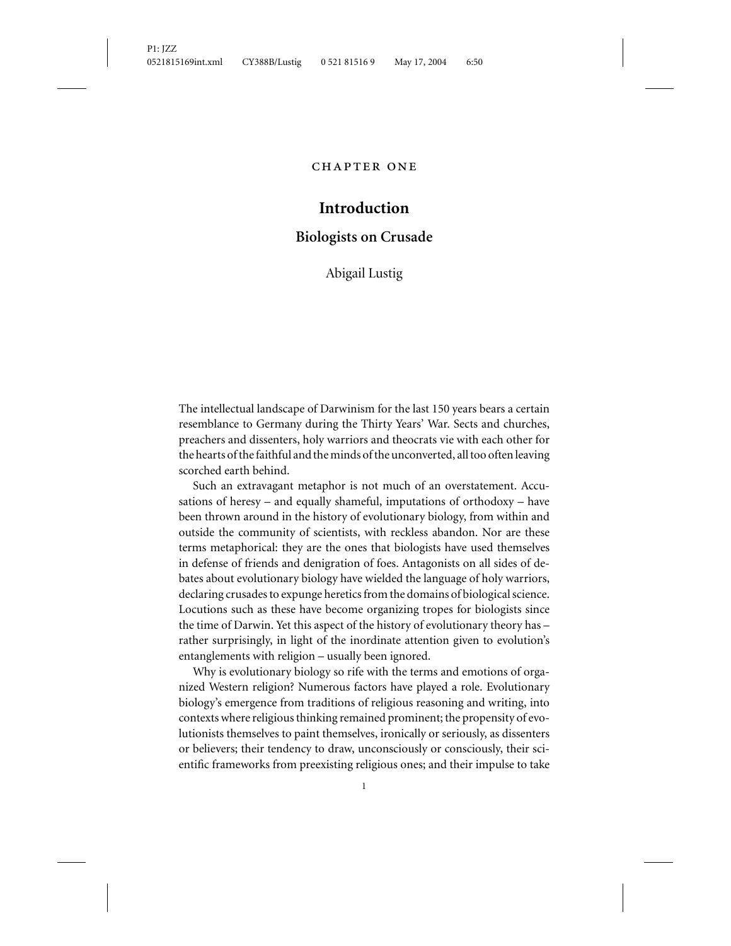## chapter one

## **Introduction**

## **Biologists on Crusade**

## Abigail Lustig

The intellectual landscape of Darwinism for the last 150 years bears a certain resemblance to Germany during the Thirty Years' War. Sects and churches, preachers and dissenters, holy warriors and theocrats vie with each other for the hearts of the faithful and the minds of the unconverted, all too often leaving scorched earth behind.

Such an extravagant metaphor is not much of an overstatement. Accusations of heresy – and equally shameful, imputations of orthodoxy – have been thrown around in the history of evolutionary biology, from within and outside the community of scientists, with reckless abandon. Nor are these terms metaphorical: they are the ones that biologists have used themselves in defense of friends and denigration of foes. Antagonists on all sides of debates about evolutionary biology have wielded the language of holy warriors, declaring crusades to expunge heretics from the domains of biological science. Locutions such as these have become organizing tropes for biologists since the time of Darwin. Yet this aspect of the history of evolutionary theory has – rather surprisingly, in light of the inordinate attention given to evolution's entanglements with religion – usually been ignored.

Why is evolutionary biology so rife with the terms and emotions of organized Western religion? Numerous factors have played a role. Evolutionary biology's emergence from traditions of religious reasoning and writing, into contexts where religious thinking remained prominent; the propensity of evolutionists themselves to paint themselves, ironically or seriously, as dissenters or believers; their tendency to draw, unconsciously or consciously, their scientific frameworks from preexisting religious ones; and their impulse to take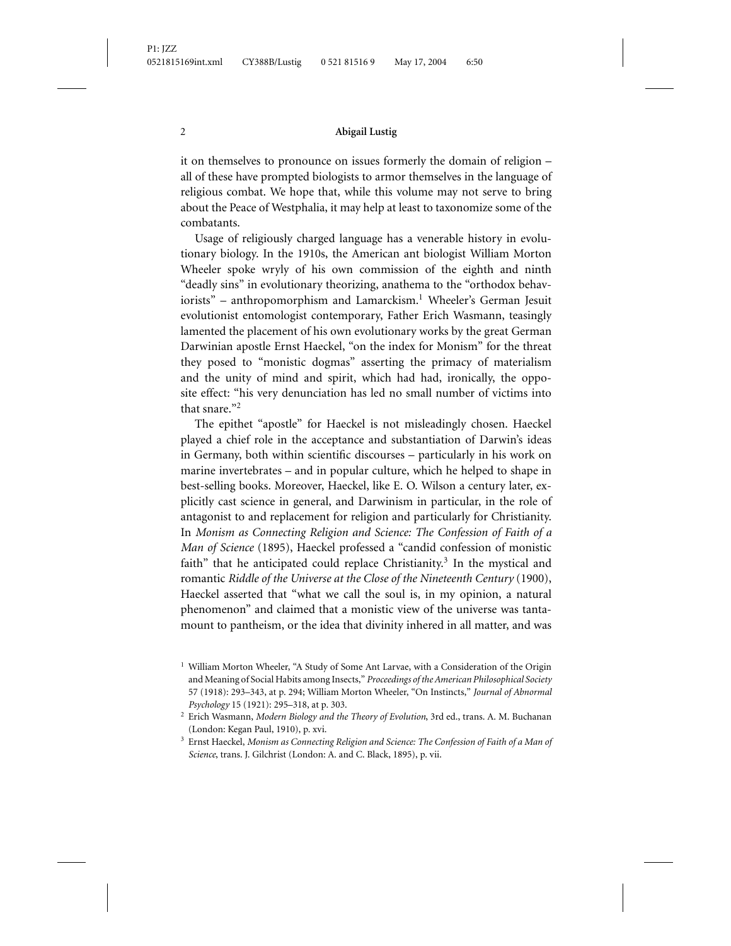it on themselves to pronounce on issues formerly the domain of religion – all of these have prompted biologists to armor themselves in the language of religious combat. We hope that, while this volume may not serve to bring about the Peace of Westphalia, it may help at least to taxonomize some of the combatants.

Usage of religiously charged language has a venerable history in evolutionary biology. In the 1910s, the American ant biologist William Morton Wheeler spoke wryly of his own commission of the eighth and ninth "deadly sins" in evolutionary theorizing, anathema to the "orthodox behaviorists" – anthropomorphism and Lamarckism.<sup>1</sup> Wheeler's German Jesuit evolutionist entomologist contemporary, Father Erich Wasmann, teasingly lamented the placement of his own evolutionary works by the great German Darwinian apostle Ernst Haeckel, "on the index for Monism" for the threat they posed to "monistic dogmas" asserting the primacy of materialism and the unity of mind and spirit, which had had, ironically, the opposite effect: "his very denunciation has led no small number of victims into that snare."2

The epithet "apostle" for Haeckel is not misleadingly chosen. Haeckel played a chief role in the acceptance and substantiation of Darwin's ideas in Germany, both within scientific discourses – particularly in his work on marine invertebrates – and in popular culture, which he helped to shape in best-selling books. Moreover, Haeckel, like E. O. Wilson a century later, explicitly cast science in general, and Darwinism in particular, in the role of antagonist to and replacement for religion and particularly for Christianity. In *Monism as Connecting Religion and Science: The Confession of Faith of a Man of Science* (1895), Haeckel professed a "candid confession of monistic faith" that he anticipated could replace Christianity.<sup>3</sup> In the mystical and romantic *Riddle of the Universe at the Close of the Nineteenth Century* (1900), Haeckel asserted that "what we call the soul is, in my opinion, a natural phenomenon" and claimed that a monistic view of the universe was tantamount to pantheism, or the idea that divinity inhered in all matter, and was

<sup>&</sup>lt;sup>1</sup> William Morton Wheeler, "A Study of Some Ant Larvae, with a Consideration of the Origin and Meaning of Social Habits among Insects," *Proceedings of the American Philosophical Society* 57 (1918): 293–343, at p. 294; William Morton Wheeler, "On Instincts," *Journal of Abnormal Psychology* 15 (1921): 295–318, at p. 303.

<sup>2</sup> Erich Wasmann, *Modern Biology and the Theory of Evolution*, 3rd ed., trans. A. M. Buchanan (London: Kegan Paul, 1910), p. xvi.

<sup>3</sup> Ernst Haeckel, *Monism as Connecting Religion and Science: The Confession of Faith of a Man of Science*, trans. J. Gilchrist (London: A. and C. Black, 1895), p. vii.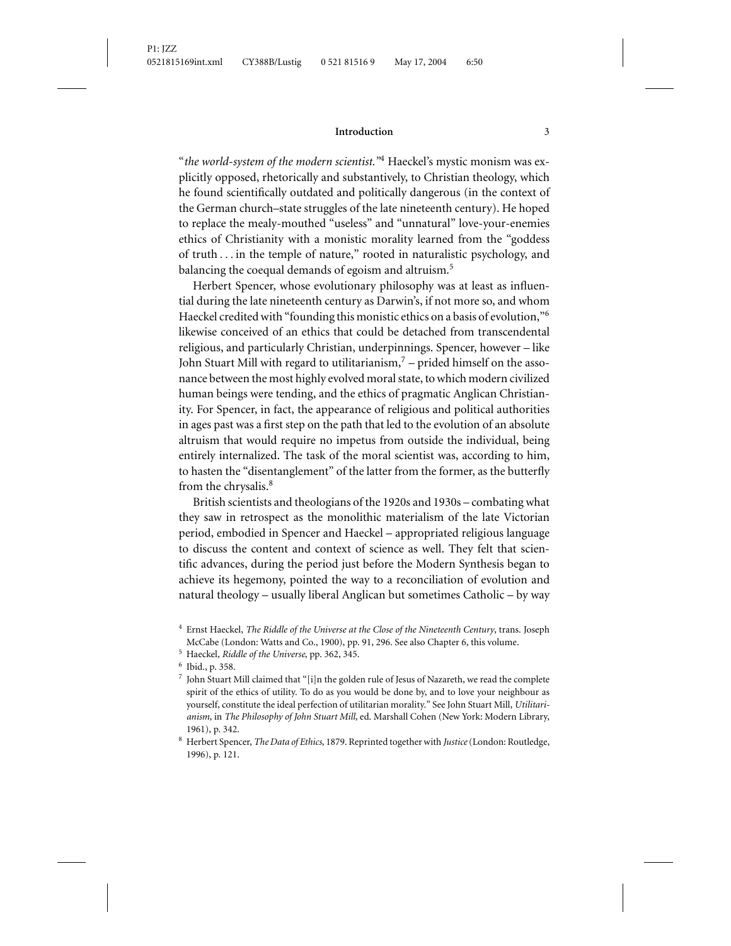#### **Introduction** 3

"*the world-system of the modern scientist."*<sup>4</sup> Haeckel's mystic monism was explicitly opposed, rhetorically and substantively, to Christian theology, which he found scientifically outdated and politically dangerous (in the context of the German church–state struggles of the late nineteenth century). He hoped to replace the mealy-mouthed "useless" and "unnatural" love-your-enemies ethics of Christianity with a monistic morality learned from the "goddess of truth ... in the temple of nature," rooted in naturalistic psychology, and balancing the coequal demands of egoism and altruism.<sup>5</sup>

Herbert Spencer, whose evolutionary philosophy was at least as influential during the late nineteenth century as Darwin's, if not more so, and whom Haeckel credited with "founding this monistic ethics on a basis of evolution,"6 likewise conceived of an ethics that could be detached from transcendental religious, and particularly Christian, underpinnings. Spencer, however – like John Stuart Mill with regard to utilitarianism, $\frac{7}{1}$  – prided himself on the assonance between the most highly evolved moral state, to which modern civilized human beings were tending, and the ethics of pragmatic Anglican Christianity. For Spencer, in fact, the appearance of religious and political authorities in ages past was a first step on the path that led to the evolution of an absolute altruism that would require no impetus from outside the individual, being entirely internalized. The task of the moral scientist was, according to him, to hasten the "disentanglement" of the latter from the former, as the butterfly from the chrysalis.<sup>8</sup>

British scientists and theologians of the 1920s and 1930s – combating what they saw in retrospect as the monolithic materialism of the late Victorian period, embodied in Spencer and Haeckel – appropriated religious language to discuss the content and context of science as well. They felt that scientific advances, during the period just before the Modern Synthesis began to achieve its hegemony, pointed the way to a reconciliation of evolution and natural theology – usually liberal Anglican but sometimes Catholic – by way

<sup>5</sup> Haeckel, *Riddle of the Universe*, pp. 362, 345.

<sup>4</sup> Ernst Haeckel, *The Riddle of the Universe at the Close of the Nineteenth Century*, trans. Joseph McCabe (London: Watts and Co., 1900), pp. 91, 296. See also Chapter 6, this volume.

<sup>6</sup> Ibid., p. 358.

 $^7$  John Stuart Mill claimed that "[i]n the golden rule of Jesus of Nazareth, we read the complete spirit of the ethics of utility. To do as you would be done by, and to love your neighbour as yourself, constitute the ideal perfection of utilitarian morality." See John Stuart Mill, *Utilitarianism*, in *The Philosophy of John Stuart Mill*, ed. Marshall Cohen (New York: Modern Library, 1961), p. 342.

<sup>8</sup> Herbert Spencer, *The Data of Ethics*, 1879. Reprinted together with *Justice*(London: Routledge, 1996), p. 121.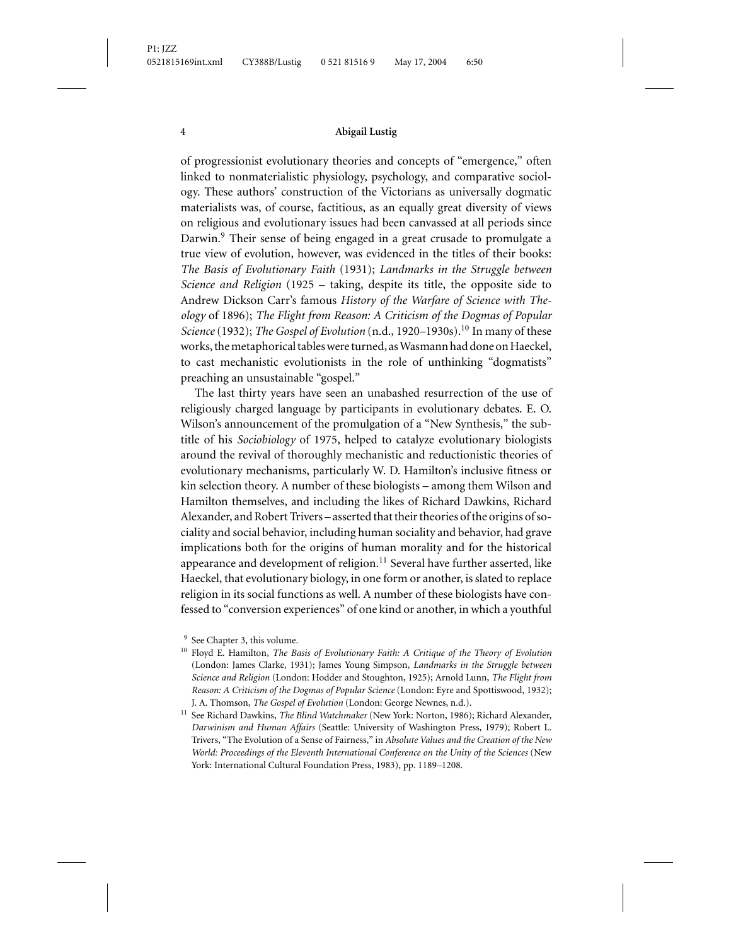of progressionist evolutionary theories and concepts of "emergence," often linked to nonmaterialistic physiology, psychology, and comparative sociology. These authors' construction of the Victorians as universally dogmatic materialists was, of course, factitious, as an equally great diversity of views on religious and evolutionary issues had been canvassed at all periods since Darwin.<sup>9</sup> Their sense of being engaged in a great crusade to promulgate a true view of evolution, however, was evidenced in the titles of their books: *The Basis of Evolutionary Faith* (1931); *Landmarks in the Struggle between Science and Religion* (1925 – taking, despite its title, the opposite side to Andrew Dickson Carr's famous *History of the Warfare of Science with Theology* of 1896); *The Flight from Reason: A Criticism of the Dogmas of Popular Science* (1932); *The Gospel of Evolution* (n.d., 1920–1930s).<sup>10</sup> In many of these works, the metaphorical tables were turned, as Wasmann had done on Haeckel, to cast mechanistic evolutionists in the role of unthinking "dogmatists" preaching an unsustainable "gospel."

The last thirty years have seen an unabashed resurrection of the use of religiously charged language by participants in evolutionary debates. E. O. Wilson's announcement of the promulgation of a "New Synthesis," the subtitle of his *Sociobiology* of 1975, helped to catalyze evolutionary biologists around the revival of thoroughly mechanistic and reductionistic theories of evolutionary mechanisms, particularly W. D. Hamilton's inclusive fitness or kin selection theory. A number of these biologists – among them Wilson and Hamilton themselves, and including the likes of Richard Dawkins, Richard Alexander, and Robert Trivers – asserted that their theories of the origins of sociality and social behavior, including human sociality and behavior, had grave implications both for the origins of human morality and for the historical appearance and development of religion.<sup>11</sup> Several have further asserted, like Haeckel, that evolutionary biology, in one form or another, is slated to replace religion in its social functions as well. A number of these biologists have confessed to "conversion experiences" of one kind or another, in which a youthful

<sup>9</sup> See Chapter 3, this volume.

<sup>10</sup> Floyd E. Hamilton, *The Basis of Evolutionary Faith: A Critique of the Theory of Evolution* (London: James Clarke, 1931); James Young Simpson, *Landmarks in the Struggle between Science and Religion* (London: Hodder and Stoughton, 1925); Arnold Lunn, *The Flight from Reason: A Criticism of the Dogmas of Popular Science* (London: Eyre and Spottiswood, 1932); J. A. Thomson, *The Gospel of Evolution* (London: George Newnes, n.d.).

<sup>11</sup> See Richard Dawkins, *The Blind Watchmaker* (New York: Norton, 1986); Richard Alexander, *Darwinism and Human Affairs* (Seattle: University of Washington Press, 1979); Robert L. Trivers, "The Evolution of a Sense of Fairness," in *Absolute Values and the Creation of the New World: Proceedings of the Eleventh International Conference on the Unity of the Sciences* (New York: International Cultural Foundation Press, 1983), pp. 1189–1208.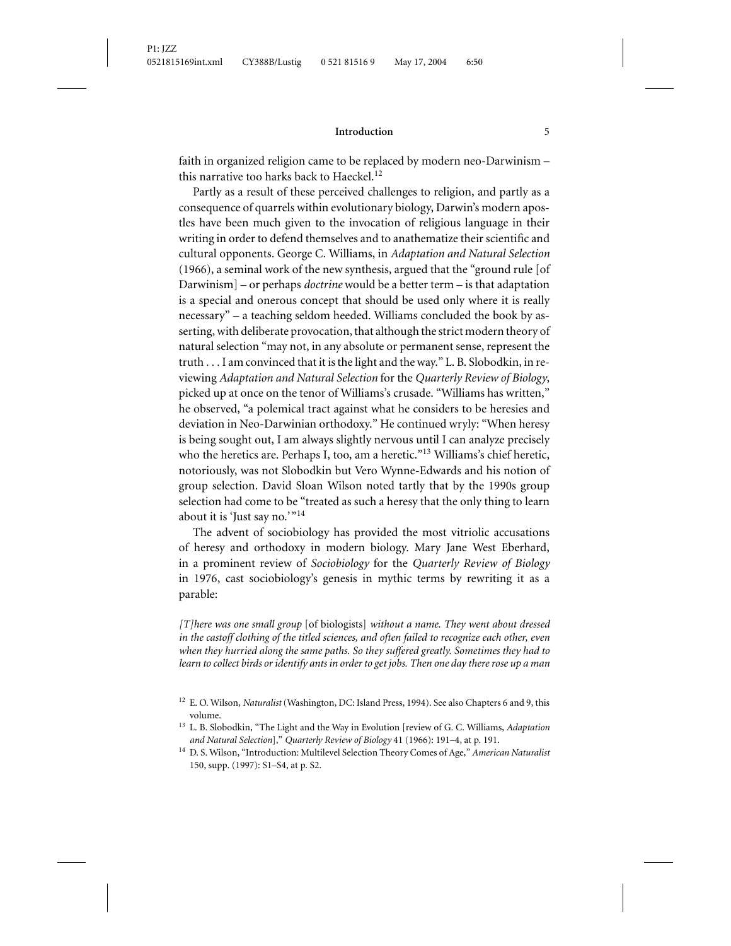faith in organized religion came to be replaced by modern neo-Darwinism – this narrative too harks back to Haeckel.<sup>12</sup>

Partly as a result of these perceived challenges to religion, and partly as a consequence of quarrels within evolutionary biology, Darwin's modern apostles have been much given to the invocation of religious language in their writing in order to defend themselves and to anathematize their scientific and cultural opponents. George C. Williams, in *Adaptation and Natural Selection* (1966), a seminal work of the new synthesis, argued that the "ground rule [of Darwinism] – or perhaps *doctrine* would be a better term – is that adaptation is a special and onerous concept that should be used only where it is really necessary" – a teaching seldom heeded. Williams concluded the book by asserting, with deliberate provocation, that although the strict modern theory of natural selection "may not, in any absolute or permanent sense, represent the truth ...I am convinced that it is the light and the way." L. B. Slobodkin, in reviewing *Adaptation and Natural Selection* for the *Quarterly Review of Biology*, picked up at once on the tenor of Williams's crusade. "Williams has written," he observed, "a polemical tract against what he considers to be heresies and deviation in Neo-Darwinian orthodoxy." He continued wryly: "When heresy is being sought out, I am always slightly nervous until I can analyze precisely who the heretics are. Perhaps I, too, am a heretic."<sup>13</sup> Williams's chief heretic, notoriously, was not Slobodkin but Vero Wynne-Edwards and his notion of group selection. David Sloan Wilson noted tartly that by the 1990s group selection had come to be "treated as such a heresy that the only thing to learn about it is 'Just say no.'"<sup>14</sup>

The advent of sociobiology has provided the most vitriolic accusations of heresy and orthodoxy in modern biology. Mary Jane West Eberhard, in a prominent review of *Sociobiology* for the *Quarterly Review of Biology* in 1976, cast sociobiology's genesis in mythic terms by rewriting it as a parable:

*[T]here was one small group* [of biologists] *without a name. They went about dressed in the castoff clothing of the titled sciences, and often failed to recognize each other, even when they hurried along the same paths. So they suffered greatly. Sometimes they had to learn to collect birds or identify ants in order to get jobs. Then one day there rose up a man*

- <sup>12</sup> E. O. Wilson, *Naturalist* (Washington, DC: Island Press, 1994). See also Chapters 6 and 9, this volume.
- <sup>13</sup> L. B. Slobodkin, "The Light and the Way in Evolution [review of G. C. Williams, *Adaptation and Natural Selection*]," *Quarterly Review of Biology* 41 (1966): 191–4, at p. 191.
- <sup>14</sup> D. S. Wilson, "Introduction: Multilevel Selection Theory Comes of Age," *American Naturalist* 150, supp. (1997): S1–S4, at p. S2.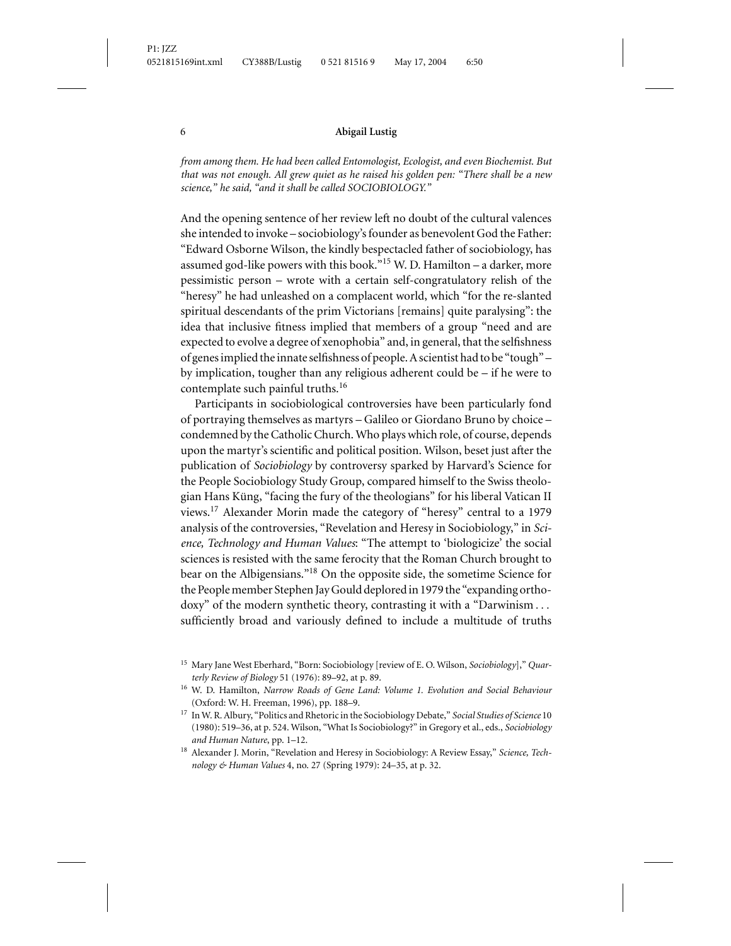*from among them. He had been called Entomologist, Ecologist, and even Biochemist. But that was not enough. All grew quiet as he raised his golden pen: "There shall be a new science," he said, "and it shall be called SOCIOBIOLOGY."*

And the opening sentence of her review left no doubt of the cultural valences she intended to invoke – sociobiology's founder as benevolent God the Father: "Edward Osborne Wilson, the kindly bespectacled father of sociobiology, has assumed god-like powers with this book."<sup>15</sup> W. D. Hamilton – a darker, more pessimistic person – wrote with a certain self-congratulatory relish of the "heresy" he had unleashed on a complacent world, which "for the re-slanted spiritual descendants of the prim Victorians [remains] quite paralysing": the idea that inclusive fitness implied that members of a group "need and are expected to evolve a degree of xenophobia" and, in general, that the selfishness of genes implied the innate selfishness of people. A scientist had to be "tough" – by implication, tougher than any religious adherent could be – if he were to contemplate such painful truths.16

Participants in sociobiological controversies have been particularly fond of portraying themselves as martyrs – Galileo or Giordano Bruno by choice – condemned by the Catholic Church. Who plays which role, of course, depends upon the martyr's scientific and political position. Wilson, beset just after the publication of *Sociobiology* by controversy sparked by Harvard's Science for the People Sociobiology Study Group, compared himself to the Swiss theologian Hans Küng, "facing the fury of the theologians" for his liberal Vatican II views.17 Alexander Morin made the category of "heresy" central to a 1979 analysis of the controversies, "Revelation and Heresy in Sociobiology," in *Science, Technology and Human Values*: "The attempt to 'biologicize' the social sciences is resisted with the same ferocity that the Roman Church brought to bear on the Albigensians."18 On the opposite side, the sometime Science for the People member Stephen Jay Gould deplored in 1979 the "expanding orthodoxy" of the modern synthetic theory, contrasting it with a "Darwinism ... sufficiently broad and variously defined to include a multitude of truths

<sup>15</sup> Mary Jane West Eberhard, "Born: Sociobiology [review of E. O. Wilson, *Sociobiology*]," *Quarterly Review of Biology* 51 (1976): 89–92, at p. 89.

<sup>16</sup> W. D. Hamilton, *Narrow Roads of Gene Land: Volume 1. Evolution and Social Behaviour* (Oxford: W. H. Freeman, 1996), pp. 188–9.

<sup>17</sup> In W. R. Albury, "Politics and Rhetoric in the Sociobiology Debate," *Social Studies of Science* 10 (1980): 519–36, at p. 524. Wilson, "What Is Sociobiology?" in Gregory et al., eds., *Sociobiology and Human Nature*, pp. 1–12.

<sup>18</sup> Alexander J. Morin, "Revelation and Heresy in Sociobiology: A Review Essay," *Science, Technology & Human Values* 4, no. 27 (Spring 1979): 24–35, at p. 32.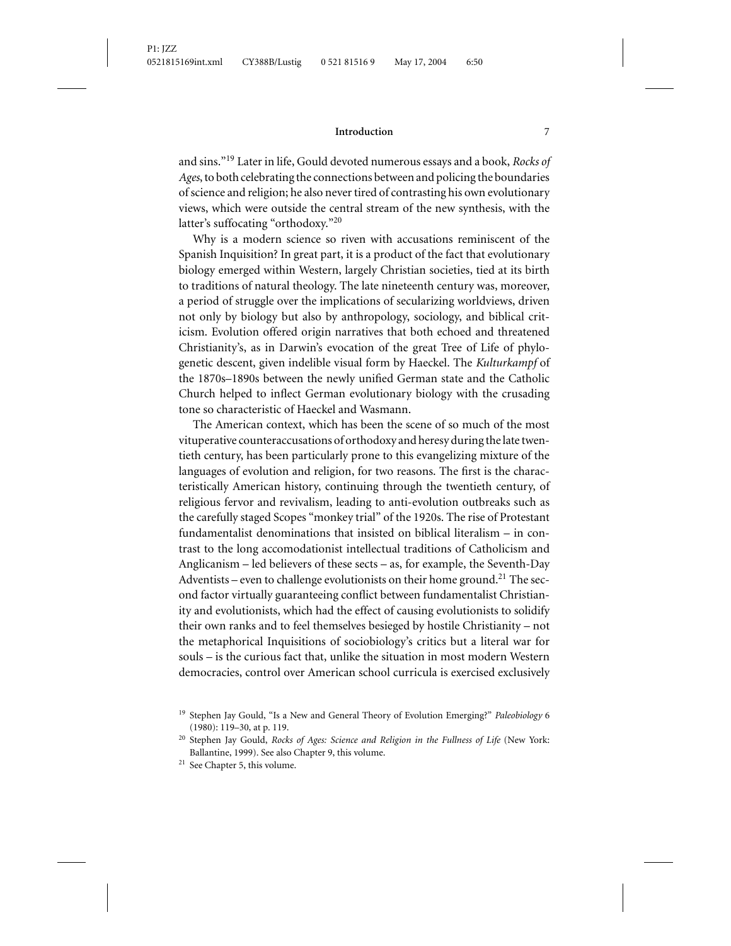### **Introduction** 7

and sins."19 Later in life, Gould devoted numerous essays and a book, *Rocks of Ages*, to both celebrating the connections between and policing the boundaries of science and religion; he also never tired of contrasting his own evolutionary views, which were outside the central stream of the new synthesis, with the latter's suffocating "orthodoxy."<sup>20</sup>

Why is a modern science so riven with accusations reminiscent of the Spanish Inquisition? In great part, it is a product of the fact that evolutionary biology emerged within Western, largely Christian societies, tied at its birth to traditions of natural theology. The late nineteenth century was, moreover, a period of struggle over the implications of secularizing worldviews, driven not only by biology but also by anthropology, sociology, and biblical criticism. Evolution offered origin narratives that both echoed and threatened Christianity's, as in Darwin's evocation of the great Tree of Life of phylogenetic descent, given indelible visual form by Haeckel. The *Kulturkampf* of the 1870s–1890s between the newly unified German state and the Catholic Church helped to inflect German evolutionary biology with the crusading tone so characteristic of Haeckel and Wasmann.

The American context, which has been the scene of so much of the most vituperative counteraccusations of orthodoxy and heresy during the late twentieth century, has been particularly prone to this evangelizing mixture of the languages of evolution and religion, for two reasons. The first is the characteristically American history, continuing through the twentieth century, of religious fervor and revivalism, leading to anti-evolution outbreaks such as the carefully staged Scopes "monkey trial" of the 1920s. The rise of Protestant fundamentalist denominations that insisted on biblical literalism – in contrast to the long accomodationist intellectual traditions of Catholicism and Anglicanism – led believers of these sects – as, for example, the Seventh-Day Adventists – even to challenge evolutionists on their home ground.<sup>21</sup> The second factor virtually guaranteeing conflict between fundamentalist Christianity and evolutionists, which had the effect of causing evolutionists to solidify their own ranks and to feel themselves besieged by hostile Christianity – not the metaphorical Inquisitions of sociobiology's critics but a literal war for souls – is the curious fact that, unlike the situation in most modern Western democracies, control over American school curricula is exercised exclusively

<sup>19</sup> Stephen Jay Gould, "Is a New and General Theory of Evolution Emerging?" *Paleobiology* 6 (1980): 119–30, at p. 119.

<sup>20</sup> Stephen Jay Gould, *Rocks of Ages: Science and Religion in the Fullness of Life* (New York: Ballantine, 1999). See also Chapter 9, this volume.

 $21$  See Chapter 5, this volume.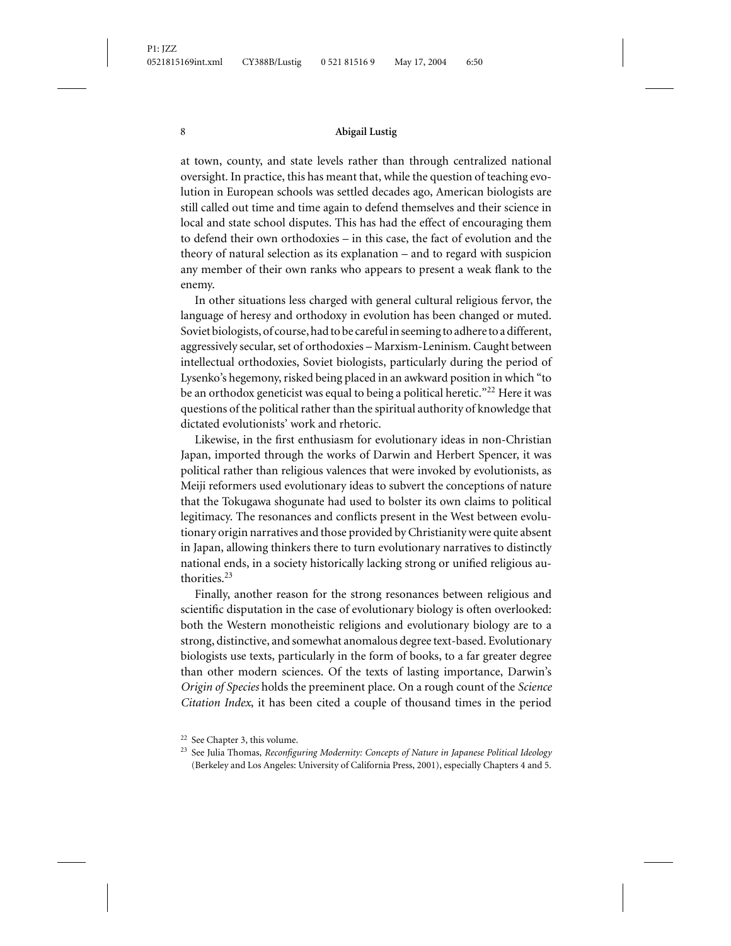at town, county, and state levels rather than through centralized national oversight. In practice, this has meant that, while the question of teaching evolution in European schools was settled decades ago, American biologists are still called out time and time again to defend themselves and their science in local and state school disputes. This has had the effect of encouraging them to defend their own orthodoxies – in this case, the fact of evolution and the theory of natural selection as its explanation – and to regard with suspicion any member of their own ranks who appears to present a weak flank to the enemy.

In other situations less charged with general cultural religious fervor, the language of heresy and orthodoxy in evolution has been changed or muted. Soviet biologists, of course, had to be careful in seeming to adhere to a different, aggressively secular, set of orthodoxies – Marxism-Leninism. Caught between intellectual orthodoxies, Soviet biologists, particularly during the period of Lysenko's hegemony, risked being placed in an awkward position in which "to be an orthodox geneticist was equal to being a political heretic."<sup>22</sup> Here it was questions of the political rather than the spiritual authority of knowledge that dictated evolutionists' work and rhetoric.

Likewise, in the first enthusiasm for evolutionary ideas in non-Christian Japan, imported through the works of Darwin and Herbert Spencer, it was political rather than religious valences that were invoked by evolutionists, as Meiji reformers used evolutionary ideas to subvert the conceptions of nature that the Tokugawa shogunate had used to bolster its own claims to political legitimacy. The resonances and conflicts present in the West between evolutionary origin narratives and those provided by Christianity were quite absent in Japan, allowing thinkers there to turn evolutionary narratives to distinctly national ends, in a society historically lacking strong or unified religious authorities.<sup>23</sup>

Finally, another reason for the strong resonances between religious and scientific disputation in the case of evolutionary biology is often overlooked: both the Western monotheistic religions and evolutionary biology are to a strong, distinctive, and somewhat anomalous degree text-based. Evolutionary biologists use texts, particularly in the form of books, to a far greater degree than other modern sciences. Of the texts of lasting importance, Darwin's *Origin of Species* holds the preeminent place. On a rough count of the *Science Citation Index*, it has been cited a couple of thousand times in the period

<sup>22</sup> See Chapter 3, this volume.

<sup>23</sup> See Julia Thomas, *Reconfiguring Modernity: Concepts of Nature in Japanese Political Ideology* (Berkeley and Los Angeles: University of California Press, 2001), especially Chapters 4 and 5.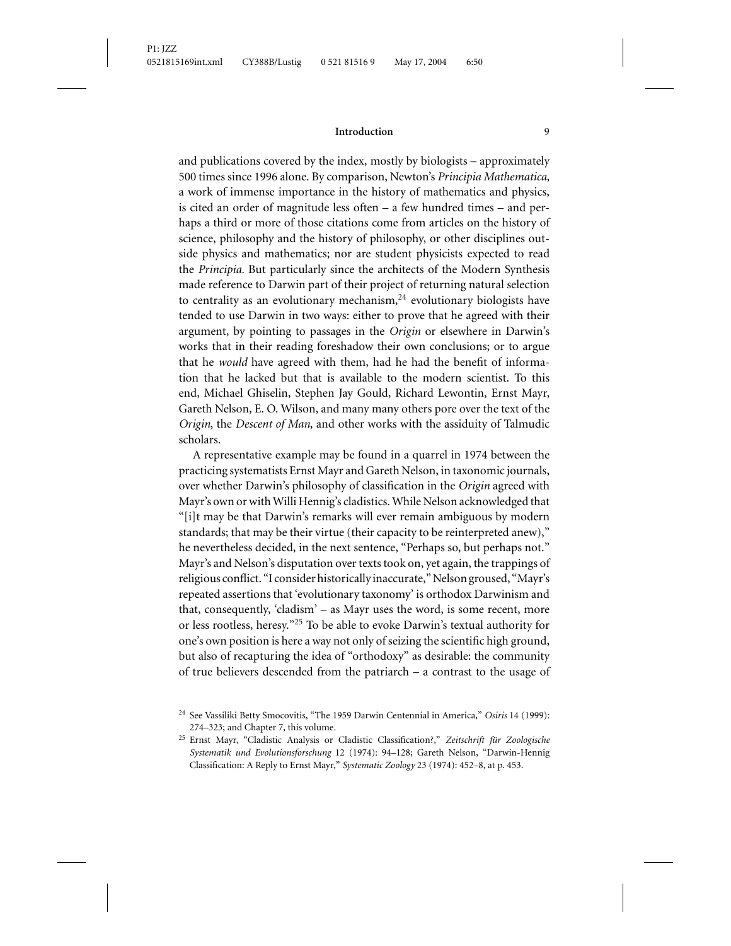and publications covered by the index, mostly by biologists – approximately 500 times since 1996 alone. By comparison, Newton's *Principia Mathematica*, a work of immense importance in the history of mathematics and physics, is cited an order of magnitude less often – a few hundred times – and perhaps a third or more of those citations come from articles on the history of science, philosophy and the history of philosophy, or other disciplines outside physics and mathematics; nor are student physicists expected to read the *Principia.* But particularly since the architects of the Modern Synthesis made reference to Darwin part of their project of returning natural selection to centrality as an evolutionary mechanism, $24$  evolutionary biologists have tended to use Darwin in two ways: either to prove that he agreed with their argument, by pointing to passages in the *Origin* or elsewhere in Darwin's works that in their reading foreshadow their own conclusions; or to argue that he *would* have agreed with them, had he had the benefit of information that he lacked but that is available to the modern scientist. To this end, Michael Ghiselin, Stephen Jay Gould, Richard Lewontin, Ernst Mayr, Gareth Nelson, E. O. Wilson, and many many others pore over the text of the *Origin*, the *Descent of Man*, and other works with the assiduity of Talmudic scholars.

A representative example may be found in a quarrel in 1974 between the practicing systematists Ernst Mayr and Gareth Nelson, in taxonomic journals, over whether Darwin's philosophy of classification in the *Origin* agreed with Mayr's own or with Willi Hennig's cladistics. While Nelson acknowledged that "[i]t may be that Darwin's remarks will ever remain ambiguous by modern standards; that may be their virtue (their capacity to be reinterpreted anew)," he nevertheless decided, in the next sentence, "Perhaps so, but perhaps not." Mayr's and Nelson's disputation over texts took on, yet again, the trappings of religious conflict. "I consider historically inaccurate,"Nelson groused, "Mayr's repeated assertions that 'evolutionary taxonomy' is orthodox Darwinism and that, consequently, 'cladism' – as Mayr uses the word, is some recent, more or less rootless, heresy."<sup>25</sup> To be able to evoke Darwin's textual authority for one's own position is here a way not only of seizing the scientific high ground, but also of recapturing the idea of "orthodoxy" as desirable: the community of true believers descended from the patriarch – a contrast to the usage of

<sup>24</sup> See Vassiliki Betty Smocovitis, "The 1959 Darwin Centennial in America," *Osiris* 14 (1999): 274–323; and Chapter 7, this volume.

<sup>25</sup> Ernst Mayr, "Cladistic Analysis or Cladistic Classification?," *Zeitschrift fur Zoologische ¨ Systematik und Evolutionsforschung* 12 (1974): 94–128; Gareth Nelson, "Darwin-Hennig Classification: A Reply to Ernst Mayr," *Systematic Zoology* 23 (1974): 452–8, at p. 453.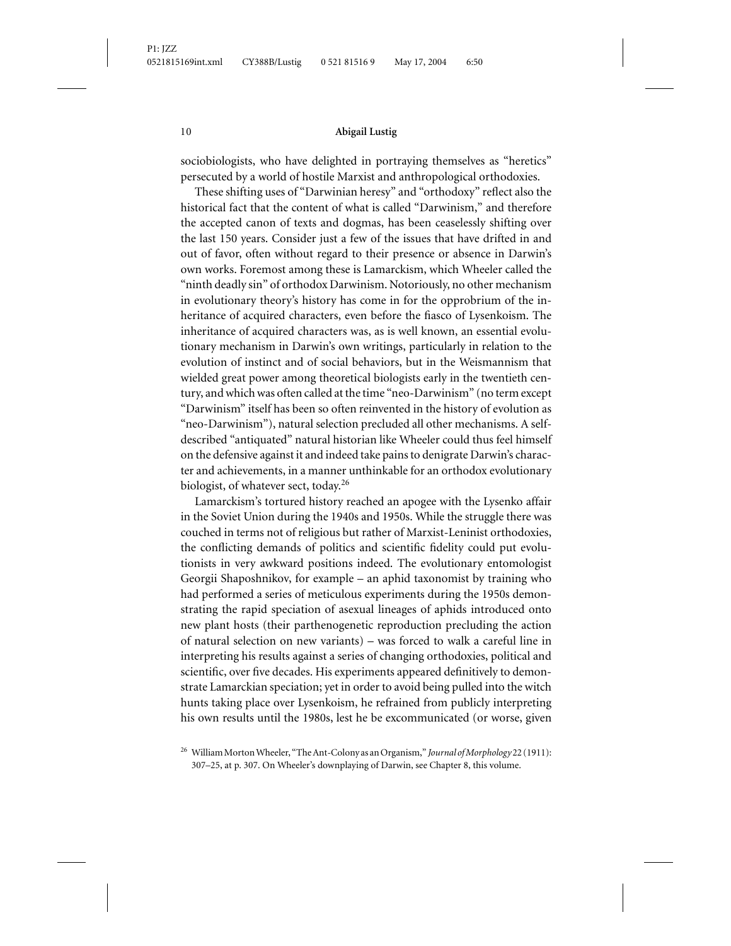sociobiologists, who have delighted in portraying themselves as "heretics" persecuted by a world of hostile Marxist and anthropological orthodoxies.

These shifting uses of "Darwinian heresy" and "orthodoxy" reflect also the historical fact that the content of what is called "Darwinism," and therefore the accepted canon of texts and dogmas, has been ceaselessly shifting over the last 150 years. Consider just a few of the issues that have drifted in and out of favor, often without regard to their presence or absence in Darwin's own works. Foremost among these is Lamarckism, which Wheeler called the "ninth deadly sin" of orthodox Darwinism. Notoriously, no other mechanism in evolutionary theory's history has come in for the opprobrium of the inheritance of acquired characters, even before the fiasco of Lysenkoism. The inheritance of acquired characters was, as is well known, an essential evolutionary mechanism in Darwin's own writings, particularly in relation to the evolution of instinct and of social behaviors, but in the Weismannism that wielded great power among theoretical biologists early in the twentieth century, and which was often called at the time "neo-Darwinism" (no term except "Darwinism" itself has been so often reinvented in the history of evolution as "neo-Darwinism"), natural selection precluded all other mechanisms. A selfdescribed "antiquated" natural historian like Wheeler could thus feel himself on the defensive against it and indeed take pains to denigrate Darwin's character and achievements, in a manner unthinkable for an orthodox evolutionary biologist, of whatever sect, today.<sup>26</sup>

Lamarckism's tortured history reached an apogee with the Lysenko affair in the Soviet Union during the 1940s and 1950s. While the struggle there was couched in terms not of religious but rather of Marxist-Leninist orthodoxies, the conflicting demands of politics and scientific fidelity could put evolutionists in very awkward positions indeed. The evolutionary entomologist Georgii Shaposhnikov, for example – an aphid taxonomist by training who had performed a series of meticulous experiments during the 1950s demonstrating the rapid speciation of asexual lineages of aphids introduced onto new plant hosts (their parthenogenetic reproduction precluding the action of natural selection on new variants) – was forced to walk a careful line in interpreting his results against a series of changing orthodoxies, political and scientific, over five decades. His experiments appeared definitively to demonstrate Lamarckian speciation; yet in order to avoid being pulled into the witch hunts taking place over Lysenkoism, he refrained from publicly interpreting his own results until the 1980s, lest he be excommunicated (or worse, given

<sup>26</sup> William Morton Wheeler, "The Ant-Colony as an Organism," *Journal of Morphology* 22 (1911): 307–25, at p. 307. On Wheeler's downplaying of Darwin, see Chapter 8, this volume.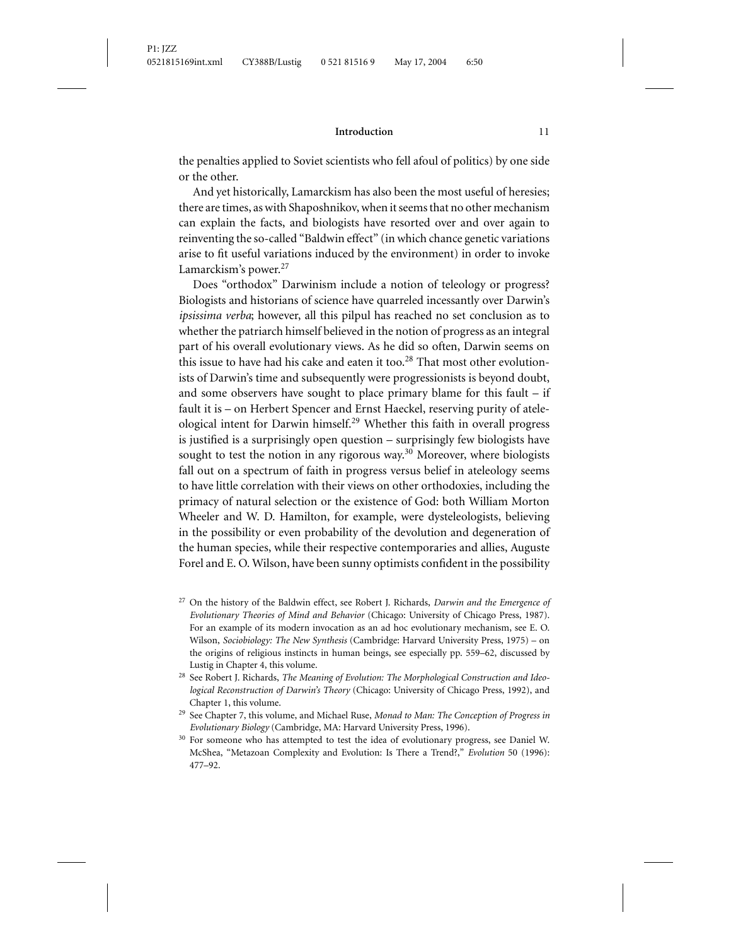the penalties applied to Soviet scientists who fell afoul of politics) by one side or the other.

And yet historically, Lamarckism has also been the most useful of heresies; there are times, as with Shaposhnikov, when it seems that no other mechanism can explain the facts, and biologists have resorted over and over again to reinventing the so-called "Baldwin effect" (in which chance genetic variations arise to fit useful variations induced by the environment) in order to invoke Lamarckism's power.<sup>27</sup>

Does "orthodox" Darwinism include a notion of teleology or progress? Biologists and historians of science have quarreled incessantly over Darwin's *ipsissima verba*; however, all this pilpul has reached no set conclusion as to whether the patriarch himself believed in the notion of progress as an integral part of his overall evolutionary views. As he did so often, Darwin seems on this issue to have had his cake and eaten it too.<sup>28</sup> That most other evolutionists of Darwin's time and subsequently were progressionists is beyond doubt, and some observers have sought to place primary blame for this fault – if fault it is – on Herbert Spencer and Ernst Haeckel, reserving purity of ateleological intent for Darwin himself.<sup>29</sup> Whether this faith in overall progress is justified is a surprisingly open question – surprisingly few biologists have sought to test the notion in any rigorous way.<sup>30</sup> Moreover, where biologists fall out on a spectrum of faith in progress versus belief in ateleology seems to have little correlation with their views on other orthodoxies, including the primacy of natural selection or the existence of God: both William Morton Wheeler and W. D. Hamilton, for example, were dysteleologists, believing in the possibility or even probability of the devolution and degeneration of the human species, while their respective contemporaries and allies, Auguste Forel and E. O. Wilson, have been sunny optimists confident in the possibility

- <sup>27</sup> On the history of the Baldwin effect, see Robert J. Richards, *Darwin and the Emergence of Evolutionary Theories of Mind and Behavior* (Chicago: University of Chicago Press, 1987). For an example of its modern invocation as an ad hoc evolutionary mechanism, see E. O. Wilson, *Sociobiology: The New Synthesis* (Cambridge: Harvard University Press, 1975) – on the origins of religious instincts in human beings, see especially pp. 559–62, discussed by Lustig in Chapter 4, this volume.
- <sup>28</sup> See Robert J. Richards, *The Meaning of Evolution: The Morphological Construction and Ideological Reconstruction of Darwin's Theory* (Chicago: University of Chicago Press, 1992), and Chapter 1, this volume.
- <sup>29</sup> See Chapter 7, this volume, and Michael Ruse, *Monad to Man: The Conception of Progress in Evolutionary Biology* (Cambridge, MA: Harvard University Press, 1996).
- <sup>30</sup> For someone who has attempted to test the idea of evolutionary progress, see Daniel W. McShea, "Metazoan Complexity and Evolution: Is There a Trend?," *Evolution* 50 (1996): 477–92.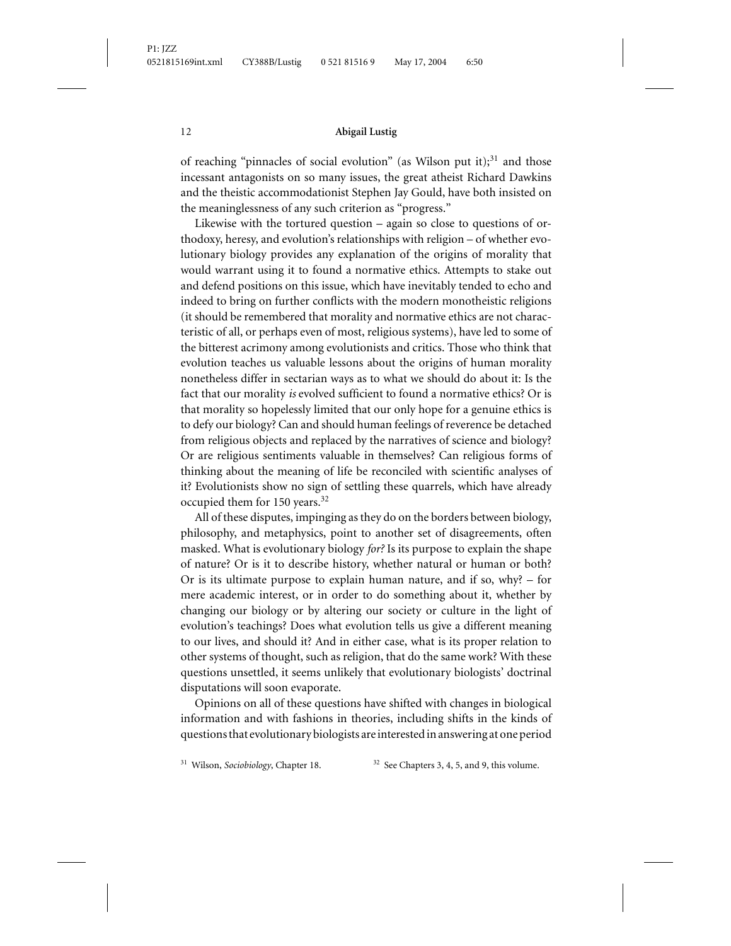of reaching "pinnacles of social evolution" (as Wilson put it); $31$  and those incessant antagonists on so many issues, the great atheist Richard Dawkins and the theistic accommodationist Stephen Jay Gould, have both insisted on the meaninglessness of any such criterion as "progress."

Likewise with the tortured question – again so close to questions of orthodoxy, heresy, and evolution's relationships with religion – of whether evolutionary biology provides any explanation of the origins of morality that would warrant using it to found a normative ethics. Attempts to stake out and defend positions on this issue, which have inevitably tended to echo and indeed to bring on further conflicts with the modern monotheistic religions (it should be remembered that morality and normative ethics are not characteristic of all, or perhaps even of most, religious systems), have led to some of the bitterest acrimony among evolutionists and critics. Those who think that evolution teaches us valuable lessons about the origins of human morality nonetheless differ in sectarian ways as to what we should do about it: Is the fact that our morality *is* evolved sufficient to found a normative ethics? Or is that morality so hopelessly limited that our only hope for a genuine ethics is to defy our biology? Can and should human feelings of reverence be detached from religious objects and replaced by the narratives of science and biology? Or are religious sentiments valuable in themselves? Can religious forms of thinking about the meaning of life be reconciled with scientific analyses of it? Evolutionists show no sign of settling these quarrels, which have already occupied them for 150 years.<sup>32</sup>

All of these disputes, impinging as they do on the borders between biology, philosophy, and metaphysics, point to another set of disagreements, often masked. What is evolutionary biology *for?* Is its purpose to explain the shape of nature? Or is it to describe history, whether natural or human or both? Or is its ultimate purpose to explain human nature, and if so, why? – for mere academic interest, or in order to do something about it, whether by changing our biology or by altering our society or culture in the light of evolution's teachings? Does what evolution tells us give a different meaning to our lives, and should it? And in either case, what is its proper relation to other systems of thought, such as religion, that do the same work? With these questions unsettled, it seems unlikely that evolutionary biologists' doctrinal disputations will soon evaporate.

Opinions on all of these questions have shifted with changes in biological information and with fashions in theories, including shifts in the kinds of questions that evolutionary biologists are interested in answering at one period